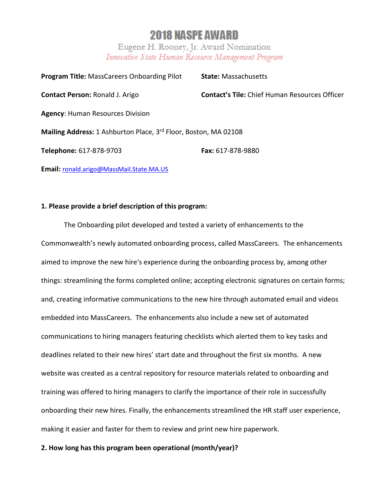# **2018 NASPE AWARD**

Eugene H. Rooney, Jr. Award Nomination Innovative State Human Resource Management Program

| <b>Program Title: MassCareers Onboarding Pilot</b>              | <b>State: Massachusetts</b>                          |
|-----------------------------------------------------------------|------------------------------------------------------|
| <b>Contact Person: Ronald J. Arigo</b>                          | <b>Contact's Tile:</b> Chief Human Resources Officer |
| <b>Agency: Human Resources Division</b>                         |                                                      |
| Mailing Address: 1 Ashburton Place, 3rd Floor, Boston, MA 02108 |                                                      |
| Telephone: 617-878-9703                                         | <b>Fax: 617-878-9880</b>                             |
| Email: ronald.arigo@MassMail.State.MA.US                        |                                                      |

## **1. Please provide a brief description of this program:**

The Onboarding pilot developed and tested a variety of enhancements to the Commonwealth's newly automated onboarding process, called MassCareers. The enhancements aimed to improve the new hire's experience during the onboarding process by, among other things: streamlining the forms completed online; accepting electronic signatures on certain forms; and, creating informative communications to the new hire through automated email and videos embedded into MassCareers. The enhancements also include a new set of automated communications to hiring managers featuring checklists which alerted them to key tasks and deadlines related to their new hires' start date and throughout the first six months. A new website was created as a central repository for resource materials related to onboarding and training was offered to hiring managers to clarify the importance of their role in successfully onboarding their new hires. Finally, the enhancements streamlined the HR staff user experience, making it easier and faster for them to review and print new hire paperwork.

## **2. How long has this program been operational (month/year)?**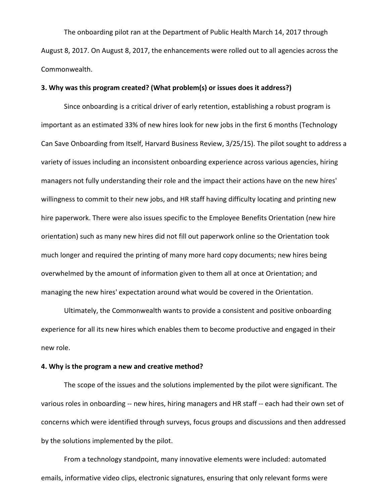The onboarding pilot ran at the Department of Public Health March 14, 2017 through August 8, 2017. On August 8, 2017, the enhancements were rolled out to all agencies across the Commonwealth.

#### **3. Why was this program created? (What problem(s) or issues does it address?)**

Since onboarding is a critical driver of early retention, establishing a robust program is important as an estimated 33% of new hires look for new jobs in the first 6 months (Technology Can Save Onboarding from Itself, Harvard Business Review, 3/25/15). The pilot sought to address a variety of issues including an inconsistent onboarding experience across various agencies, hiring managers not fully understanding their role and the impact their actions have on the new hires' willingness to commit to their new jobs, and HR staff having difficulty locating and printing new hire paperwork. There were also issues specific to the Employee Benefits Orientation (new hire orientation) such as many new hires did not fill out paperwork online so the Orientation took much longer and required the printing of many more hard copy documents; new hires being overwhelmed by the amount of information given to them all at once at Orientation; and managing the new hires' expectation around what would be covered in the Orientation.

Ultimately, the Commonwealth wants to provide a consistent and positive onboarding experience for all its new hires which enables them to become productive and engaged in their new role.

#### **4. Why is the program a new and creative method?**

The scope of the issues and the solutions implemented by the pilot were significant. The various roles in onboarding -- new hires, hiring managers and HR staff -- each had their own set of concerns which were identified through surveys, focus groups and discussions and then addressed by the solutions implemented by the pilot.

From a technology standpoint, many innovative elements were included: automated emails, informative video clips, electronic signatures, ensuring that only relevant forms were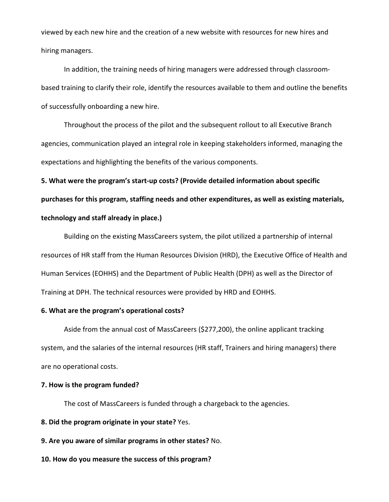viewed by each new hire and the creation of a new website with resources for new hires and hiring managers.

In addition, the training needs of hiring managers were addressed through classroombased training to clarify their role, identify the resources available to them and outline the benefits of successfully onboarding a new hire.

Throughout the process of the pilot and the subsequent rollout to all Executive Branch agencies, communication played an integral role in keeping stakeholders informed, managing the expectations and highlighting the benefits of the various components.

**5. What were the program's start-up costs? (Provide detailed information about specific purchases for this program, staffing needs and other expenditures, as well as existing materials, technology and staff already in place.)**

Building on the existing MassCareers system, the pilot utilized a partnership of internal resources of HR staff from the Human Resources Division (HRD), the Executive Office of Health and Human Services (EOHHS) and the Department of Public Health (DPH) as well as the Director of Training at DPH. The technical resources were provided by HRD and EOHHS.

## **6. What are the program's operational costs?**

Aside from the annual cost of MassCareers (\$277,200), the online applicant tracking system, and the salaries of the internal resources (HR staff, Trainers and hiring managers) there are no operational costs.

#### **7. How is the program funded?**

The cost of MassCareers is funded through a chargeback to the agencies.

**8. Did the program originate in your state?** Yes.

**9. Are you aware of similar programs in other states?** No.

**10. How do you measure the success of this program?**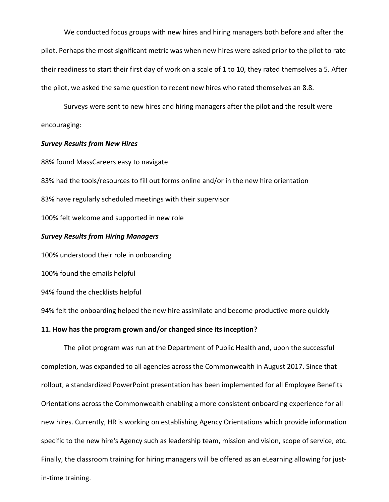We conducted focus groups with new hires and hiring managers both before and after the pilot. Perhaps the most significant metric was when new hires were asked prior to the pilot to rate their readiness to start their first day of work on a scale of 1 to 10, they rated themselves a 5. After the pilot, we asked the same question to recent new hires who rated themselves an 8.8.

Surveys were sent to new hires and hiring managers after the pilot and the result were encouraging:

### *Survey Results from New Hires*

88% found MassCareers easy to navigate

83% had the tools/resources to fill out forms online and/or in the new hire orientation

83% have regularly scheduled meetings with their supervisor

100% felt welcome and supported in new role

#### *Survey Results from Hiring Managers*

100% understood their role in onboarding

100% found the emails helpful

94% found the checklists helpful

94% felt the onboarding helped the new hire assimilate and become productive more quickly

#### **11. How has the program grown and/or changed since its inception?**

The pilot program was run at the Department of Public Health and, upon the successful completion, was expanded to all agencies across the Commonwealth in August 2017. Since that rollout, a standardized PowerPoint presentation has been implemented for all Employee Benefits Orientations across the Commonwealth enabling a more consistent onboarding experience for all new hires. Currently, HR is working on establishing Agency Orientations which provide information specific to the new hire's Agency such as leadership team, mission and vision, scope of service, etc. Finally, the classroom training for hiring managers will be offered as an eLearning allowing for justin-time training.